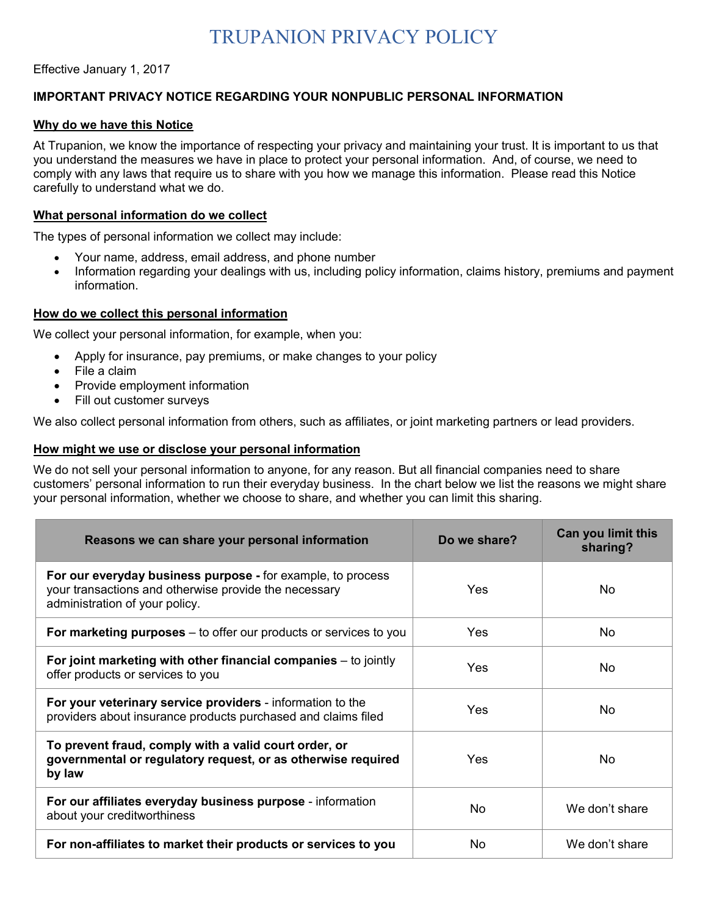# TRUPANION PRIVACY POLICY

Effective January 1, 2017

# **IMPORTANT PRIVACY NOTICE REGARDING YOUR NONPUBLIC PERSONAL INFORMATION**

#### **Why do we have this Notice**

At Trupanion, we know the importance of respecting your privacy and maintaining your trust. It is important to us that you understand the measures we have in place to protect your personal information. And, of course, we need to comply with any laws that require us to share with you how we manage this information. Please read this Notice carefully to understand what we do.

#### **What personal information do we collect**

The types of personal information we collect may include:

- Your name, address, email address, and phone number
- Information regarding your dealings with us, including policy information, claims history, premiums and payment information.

#### **How do we collect this personal information**

We collect your personal information, for example, when you:

- Apply for insurance, pay premiums, or make changes to your policy
- File a claim
- Provide employment information
- Fill out customer surveys

We also collect personal information from others, such as affiliates, or joint marketing partners or lead providers.

#### **How might we use or disclose your personal information**

We do not sell your personal information to anyone, for any reason. But all financial companies need to share customers' personal information to run their everyday business. In the chart below we list the reasons we might share your personal information, whether we choose to share, and whether you can limit this sharing.

| Reasons we can share your personal information                                                                                                         | Do we share? | Can you limit this<br>sharing? |
|--------------------------------------------------------------------------------------------------------------------------------------------------------|--------------|--------------------------------|
| For our everyday business purpose - for example, to process<br>your transactions and otherwise provide the necessary<br>administration of your policy. | Yes          | No                             |
| For marketing purposes $-$ to offer our products or services to you                                                                                    | <b>Yes</b>   | No                             |
| For joint marketing with other financial companies $-$ to jointly<br>offer products or services to you                                                 | <b>Yes</b>   | No                             |
| For your veterinary service providers - information to the<br>providers about insurance products purchased and claims filed                            | <b>Yes</b>   | N <sub>o</sub>                 |
| To prevent fraud, comply with a valid court order, or<br>governmental or regulatory request, or as otherwise required<br>by law                        | Yes          | No                             |
| For our affiliates everyday business purpose - information<br>about your creditworthiness                                                              | No.          | We don't share                 |
| For non-affiliates to market their products or services to you                                                                                         | No.          | We don't share                 |